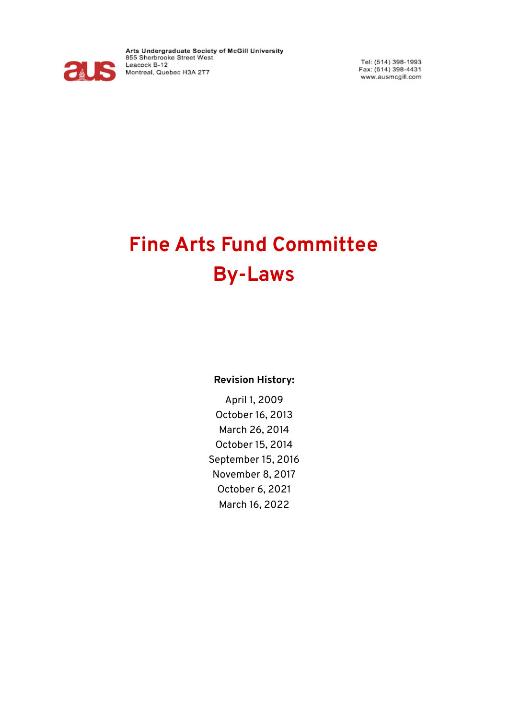

Arts Undergraduate Society of McGill University<br>855 Sherbrooke Street West Leacock B-12 Montreal, Quebec H3A 2T7

Tel: (514) 398-1993 Fax: (514) 398-4431 www.ausmcgill.com

# **Fine Arts Fund Committee By-Laws**

#### **Revision History:**

April 1, 2009 October 16, 2013 March 26, 2014 October 15, 2014 September 15, 2016 November 8, 2017 October 6, 2021 March 16, 2022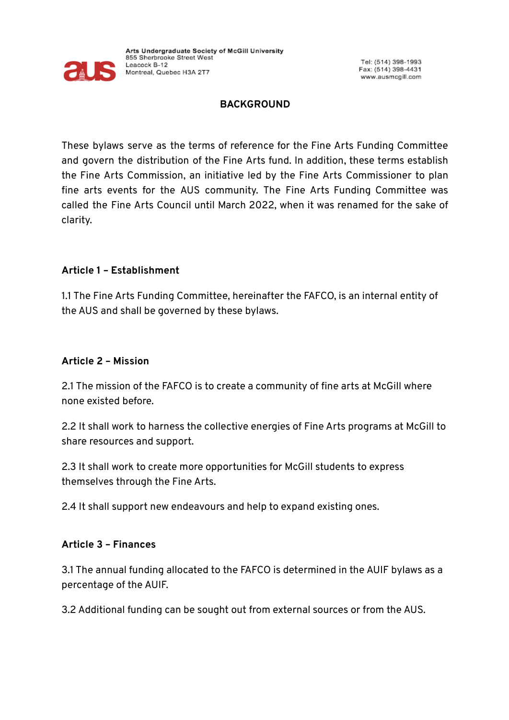

#### **BACKGROUND**

These bylaws serve as the terms of reference for the Fine Arts Funding Committee and govern the distribution of the Fine Arts fund. In addition, these terms establish the Fine Arts Commission, an initiative led by the Fine Arts Commissioner to plan fine arts events for the AUS community. The Fine Arts Funding Committee was called the Fine Arts Council until March 2022, when it was renamed for the sake of clarity.

#### **Article 1 – Establishment**

1.1 The Fine Arts Funding Committee, hereinafter the FAFCO, is an internal entity of the AUS and shall be governed by these bylaws.

#### **Article 2 – Mission**

2.1 The mission of the FAFCO is to create a community of fine arts at McGill where none existed before.

2.2 It shall work to harness the collective energies of Fine Arts programs at McGill to share resources and support.

2.3 It shall work to create more opportunities for McGill students to express themselves through the Fine Arts.

2.4 It shall support new endeavours and help to expand existing ones.

#### **Article 3 – Finances**

3.1 The annual funding allocated to the FAFCO is determined in the AUIF bylaws as a percentage of the AUIF.

3.2 Additional funding can be sought out from external sources or from the AUS.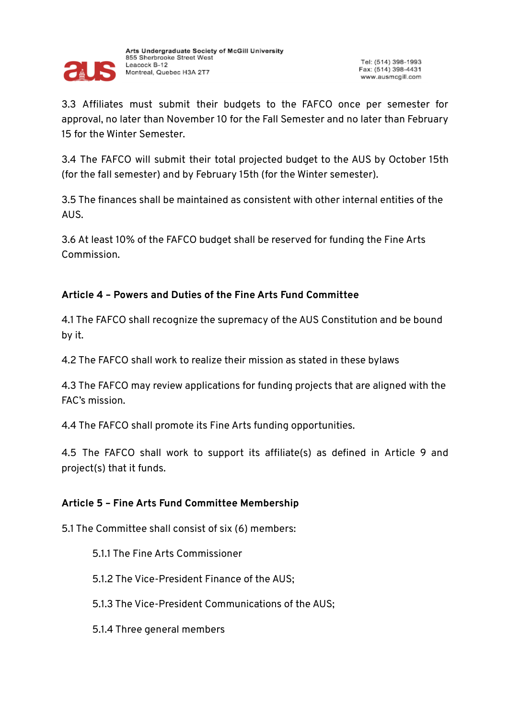

3.3 Affiliates must submit their budgets to the FAFCO once per semester for approval, no later than November 10 for the Fall Semester and no later than February 15 for the Winter Semester.

3.4 The FAFCO will submit their total projected budget to the AUS by October 15th (for the fall semester) and by February 15th (for the Winter semester).

3.5 The finances shall be maintained as consistent with other internal entities of the AUS.

3.6 At least 10% of the FAFCO budget shall be reserved for funding the Fine Arts Commission.

## **Article 4 – Powers and Duties of the Fine Arts Fund Committee**

4.1 The FAFCO shall recognize the supremacy of the AUS Constitution and be bound by it.

4.2 The FAFCO shall work to realize their mission as stated in these bylaws

4.3 The FAFCO may review applications for funding projects that are aligned with the FAC's mission.

4.4 The FAFCO shall promote its Fine Arts funding opportunities.

4.5 The FAFCO shall work to support its affiliate(s) as defined in Article 9 and project(s) that it funds.

#### **Article 5 – Fine Arts Fund Committee Membership**

5.1 The Committee shall consist of six (6) members:

5.1.1 The Fine Arts Commissioner

5.1.2 The Vice-President Finance of the AUS;

5.1.3 The Vice-President Communications of the AUS;

5.1.4 Three general members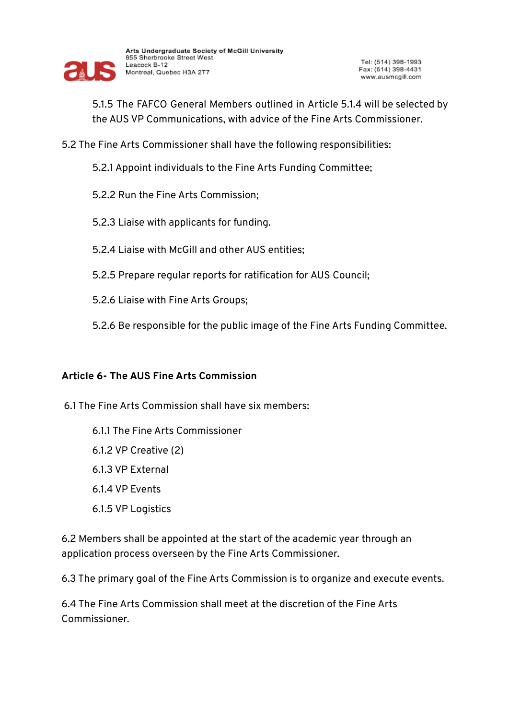

5.1.5 The FAFCO General Members outlined in Article 5.1.4 will be selected by the AUS VP Communications, with advice of the Fine Arts Commissioner.

- 5.2 The Fine Arts Commissioner shall have the following responsibilities:
	- 5.2.1 Appoint individuals to the Fine Arts Funding Committee;
	- 5.2.2 Run the Fine Arts Commission;
	- 5.2.3 Liaise with applicants for funding.
	- 5.2.4 Liaise with McGill and other AUS entities;
	- 5.2.5 Prepare regular reports for ratification for AUS Council;
	- 5.2.6 Liaise with Fine Arts Groups;
	- 5.2.6 Be responsible for the public image of the Fine Arts Funding Committee.

#### **Article 6- The AUS Fine Arts Commission**

- 6.1 The Fine Arts Commission shall have six members:
	- 6.1.1 The Fine Arts Commissioner 6.1.2 VP Creative (2) 6.1.3 VP External 6.1.4 VP Events 6.1.5 VP Logistics

6.2 Members shall be appointed at the start of the academic year through an application process overseen by the Fine Arts Commissioner.

6.3 The primary goal of the Fine Arts Commission is to organize and execute events.

6.4 The Fine Arts Commission shall meet at the discretion of the Fine Arts Commissioner.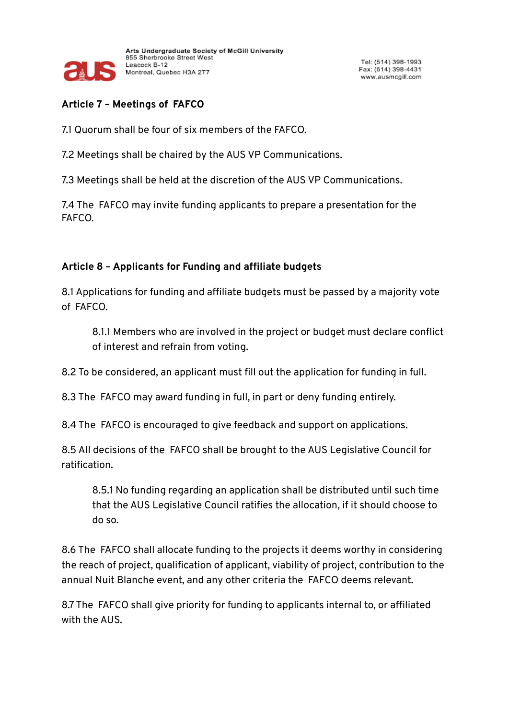

# **Article 7 – Meetings of FAFCO**

7.1 Quorum shall be four of six members of the FAFCO.

7.2 Meetings shall be chaired by the AUS VP Communications.

7.3 Meetings shall be held at the discretion of the AUS VP Communications.

7.4 The FAFCO may invite funding applicants to prepare a presentation for the FAFCO.

## **Article 8 – Applicants for Funding and affiliate budgets**

8.1 Applications for funding and affiliate budgets must be passed by a majority vote of FAFCO.

8.1.1 Members who are involved in the project or budget must declare conflict of interest and refrain from voting.

8.2 To be considered, an applicant must fill out the application for funding in full.

8.3 The FAFCO may award funding in full, in part or deny funding entirely.

8.4 The FAFCO is encouraged to give feedback and support on applications.

8.5 All decisions of the FAFCO shall be brought to the AUS Legislative Council for ratification.

8.5.1 No funding regarding an application shall be distributed until such time that the AUS Legislative Council ratifies the allocation, if it should choose to do so.

8.6 The FAFCO shall allocate funding to the projects it deems worthy in considering the reach of project, qualification of applicant, viability of project, contribution to the annual Nuit Blanche event, and any other criteria the FAFCO deems relevant.

8.7 The FAFCO shall give priority for funding to applicants internal to, or affiliated with the AUS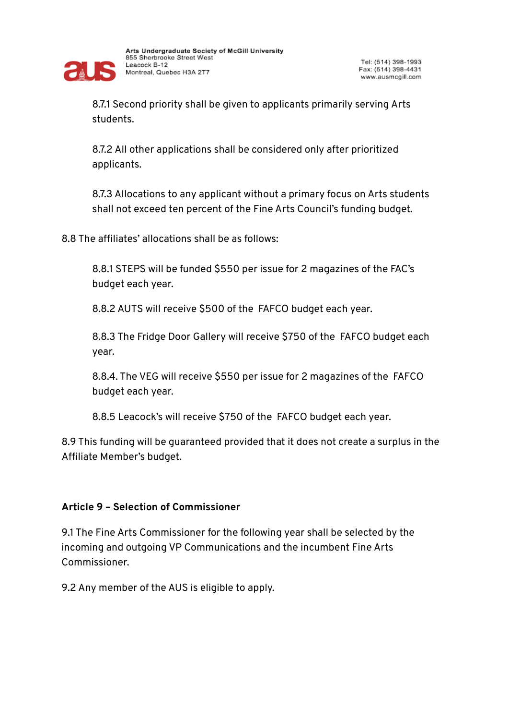

8.7.1 Second priority shall be given to applicants primarily serving Arts students.

8.7.2 All other applications shall be considered only after prioritized applicants.

8.7.3 Allocations to any applicant without a primary focus on Arts students shall not exceed ten percent of the Fine Arts Council's funding budget.

8.8 The affiliates' allocations shall be as follows:

8.8.1 STEPS will be funded \$550 per issue for 2 magazines of the FAC's budget each year.

8.8.2 AUTS will receive \$500 of the FAFCO budget each year.

8.8.3 The Fridge Door Gallery will receive \$750 of the FAFCO budget each year.

8.8.4. The VEG will receive \$550 per issue for 2 magazines of the FAFCO budget each year.

8.8.5 Leacock's will receive \$750 of the FAFCO budget each year.

8.9 This funding will be guaranteed provided that it does not create a surplus in the Affiliate Member's budget.

#### **Article 9 – Selection of Commissioner**

9.1 The Fine Arts Commissioner for the following year shall be selected by the incoming and outgoing VP Communications and the incumbent Fine Arts Commissioner.

9.2 Any member of the AUS is eligible to apply.